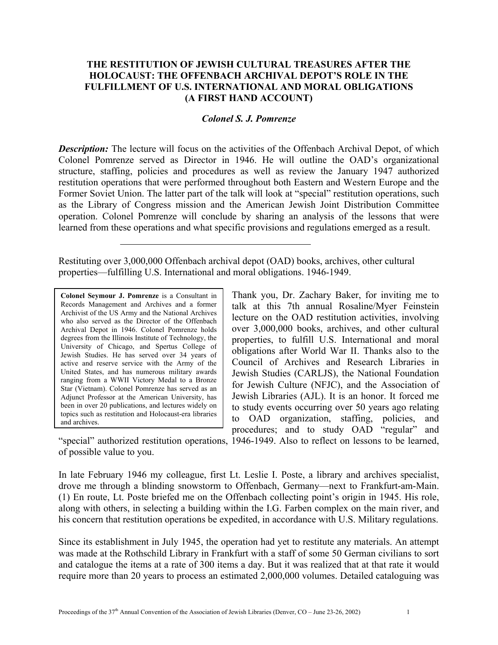## **THE RESTITUTION OF JEWISH CULTURAL TREASURES AFTER THE HOLOCAUST: THE OFFENBACH ARCHIVAL DEPOT'S ROLE IN THE FULFILLMENT OF U.S. INTERNATIONAL AND MORAL OBLIGATIONS (A FIRST HAND ACCOUNT)**

## *Colonel S. J. Pomrenze*

**Description:** The lecture will focus on the activities of the Offenbach Archival Depot, of which Colonel Pomrenze served as Director in 1946. He will outline the OAD's organizational structure, staffing, policies and procedures as well as review the January 1947 authorized restitution operations that were performed throughout both Eastern and Western Europe and the Former Soviet Union. The latter part of the talk will look at "special" restitution operations, such as the Library of Congress mission and the American Jewish Joint Distribution Committee operation. Colonel Pomrenze will conclude by sharing an analysis of the lessons that were learned from these operations and what specific provisions and regulations emerged as a result.

Restituting over 3,000,000 Offenbach archival depot (OAD) books, archives, other cultural properties—fulfilling U.S. International and moral obligations. 1946-1949.

**Colonel Seymour J. Pomrenze** is a Consultant in Records Management and Archives and a former Archivist of the US Army and the National Archives who also served as the Director of the Offenbach Archival Depot in 1946. Colonel Pomrenze holds degrees from the Illinois Institute of Technology, the University of Chicago, and Spertus College of Jewish Studies. He has served over 34 years of active and reserve service with the Army of the United States, and has numerous military awards ranging from a WWII Victory Medal to a Bronze Star (Vietnam). Colonel Pomrenze has served as an Adjunct Professor at the American University, has been in over 20 publications, and lectures widely on topics such as restitution and Holocaust-era libraries and archives.

Thank you, Dr. Zachary Baker, for inviting me to talk at this 7th annual Rosaline/Myer Feinstein lecture on the OAD restitution activities, involving over 3,000,000 books, archives, and other cultural properties, to fulfill U.S. International and moral obligations after World War II. Thanks also to the Council of Archives and Research Libraries in Jewish Studies (CARLJS), the National Foundation for Jewish Culture (NFJC), and the Association of Jewish Libraries (AJL). It is an honor. It forced me to study events occurring over 50 years ago relating to OAD organization, staffing, policies, and procedures; and to study OAD "regular" and

"special" authorized restitution operations, 1946-1949. Also to reflect on lessons to be learned, of possible value to you.

In late February 1946 my colleague, first Lt. Leslie I. Poste, a library and archives specialist, drove me through a blinding snowstorm to Offenbach, Germany—next to Frankfurt-am-Main. (1) En route, Lt. Poste briefed me on the Offenbach collecting point's origin in 1945. His role, along with others, in selecting a building within the I.G. Farben complex on the main river, and his concern that restitution operations be expedited, in accordance with U.S. Military regulations.

Since its establishment in July 1945, the operation had yet to restitute any materials. An attempt was made at the Rothschild Library in Frankfurt with a staff of some 50 German civilians to sort and catalogue the items at a rate of 300 items a day. But it was realized that at that rate it would require more than 20 years to process an estimated 2,000,000 volumes. Detailed cataloguing was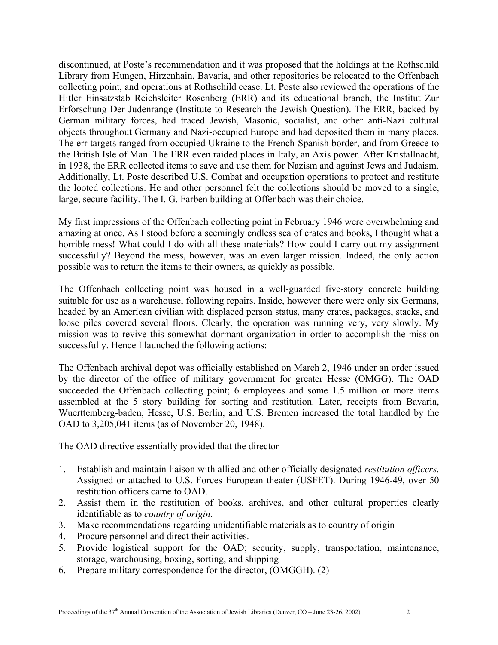discontinued, at Poste's recommendation and it was proposed that the holdings at the Rothschild Library from Hungen, Hirzenhain, Bavaria, and other repositories be relocated to the Offenbach collecting point, and operations at Rothschild cease. Lt. Poste also reviewed the operations of the Hitler Einsatzstab Reichsleiter Rosenberg (ERR) and its educational branch, the Institut Zur Erforschung Der Judenrange (Institute to Research the Jewish Question). The ERR, backed by German military forces, had traced Jewish, Masonic, socialist, and other anti-Nazi cultural objects throughout Germany and Nazi-occupied Europe and had deposited them in many places. The err targets ranged from occupied Ukraine to the French-Spanish border, and from Greece to the British Isle of Man. The ERR even raided places in Italy, an Axis power. After Kristallnacht, in 1938, the ERR collected items to save and use them for Nazism and against Jews and Judaism. Additionally, Lt. Poste described U.S. Combat and occupation operations to protect and restitute the looted collections. He and other personnel felt the collections should be moved to a single, large, secure facility. The I. G. Farben building at Offenbach was their choice.

My first impressions of the Offenbach collecting point in February 1946 were overwhelming and amazing at once. As I stood before a seemingly endless sea of crates and books, I thought what a horrible mess! What could I do with all these materials? How could I carry out my assignment successfully? Beyond the mess, however, was an even larger mission. Indeed, the only action possible was to return the items to their owners, as quickly as possible.

The Offenbach collecting point was housed in a well-guarded five-story concrete building suitable for use as a warehouse, following repairs. Inside, however there were only six Germans, headed by an American civilian with displaced person status, many crates, packages, stacks, and loose piles covered several floors. Clearly, the operation was running very, very slowly. My mission was to revive this somewhat dormant organization in order to accomplish the mission successfully. Hence I launched the following actions:

The Offenbach archival depot was officially established on March 2, 1946 under an order issued by the director of the office of military government for greater Hesse (OMGG). The OAD succeeded the Offenbach collecting point; 6 employees and some 1.5 million or more items assembled at the 5 story building for sorting and restitution. Later, receipts from Bavaria, Wuerttemberg-baden, Hesse, U.S. Berlin, and U.S. Bremen increased the total handled by the OAD to 3,205,041 items (as of November 20, 1948).

The OAD directive essentially provided that the director —

- 1. Establish and maintain liaison with allied and other officially designated *restitution officers*. Assigned or attached to U.S. Forces European theater (USFET). During 1946-49, over 50 restitution officers came to OAD.
- 2. Assist them in the restitution of books, archives, and other cultural properties clearly identifiable as to *country of origin*.
- 3. Make recommendations regarding unidentifiable materials as to country of origin
- 4. Procure personnel and direct their activities.
- 5. Provide logistical support for the OAD; security, supply, transportation, maintenance, storage, warehousing, boxing, sorting, and shipping
- 6. Prepare military correspondence for the director, (OMGGH). (2)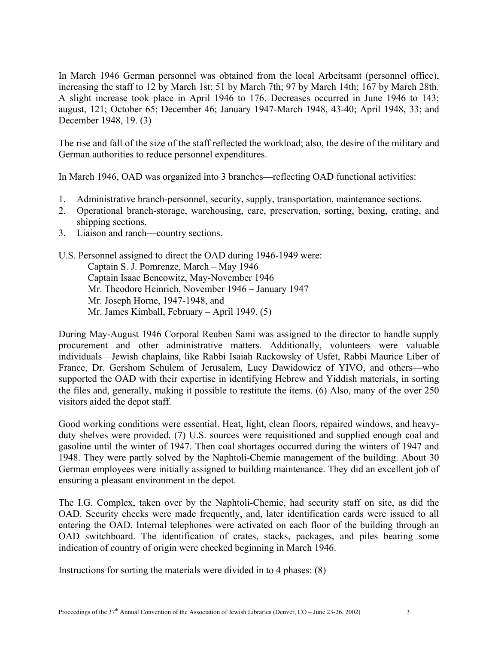In March 1946 German personnel was obtained from the local Arbeitsamt (personnel office), increasing the staff to 12 by March 1st; 51 by March 7th; 97 by March 14th; 167 by March 28th. A slight increase took place in April 1946 to 176. Decreases occurred in June 1946 to 143; august, 121; October 65; December 46; January 1947-March 1948, 43-40; April 1948, 33; and December 1948, 19. (3)

The rise and fall of the size of the staff reflected the workload; also, the desire of the military and German authorities to reduce personnel expenditures.

In March 1946, OAD was organized into 3 branches**—**reflecting OAD functional activities:

- 1. Administrative branch-personnel, security, supply, transportation, maintenance sections.
- 2. Operational branch-storage, warehousing, care, preservation, sorting, boxing, crating, and shipping sections.
- 3. Liaison and ranch—country sections.
- U.S. Personnel assigned to direct the OAD during 1946-1949 were: Captain S. J. Pomrenze, March – May 1946 Captain Isaac Bencowitz, May-November 1946 Mr. Theodore Heinrich, November 1946 – January 1947 Mr. Joseph Horne, 1947-1948, and Mr. James Kimball, February – April 1949. (5)

During May-August 1946 Corporal Reuben Sami was assigned to the director to handle supply procurement and other administrative matters. Additionally, volunteers were valuable individuals—Jewish chaplains, like Rabbi Isaiah Rackowsky of Usfet, Rabbi Maurice Liber of France, Dr. Gershom Schulem of Jerusalem, Lucy Dawidowicz of YIVO, and others—who supported the OAD with their expertise in identifying Hebrew and Yiddish materials, in sorting the files and, generally, making it possible to restitute the items. (6) Also, many of the over 250 visitors aided the depot staff.

Good working conditions were essential. Heat, light, clean floors, repaired windows, and heavyduty shelves were provided. (7) U.S. sources were requisitioned and supplied enough coal and gasoline until the winter of 1947. Then coal shortages occurred during the winters of 1947 and 1948. They were partly solved by the Naphtoli-Chemie management of the building. About 30 German employees were initially assigned to building maintenance. They did an excellent job of ensuring a pleasant environment in the depot.

The I.G. Complex, taken over by the Naphtoli-Chemie, had security staff on site, as did the OAD. Security checks were made frequently, and, later identification cards were issued to all entering the OAD. Internal telephones were activated on each floor of the building through an OAD switchboard. The identification of crates, stacks, packages, and piles bearing some indication of country of origin were checked beginning in March 1946.

Instructions for sorting the materials were divided in to 4 phases: (8)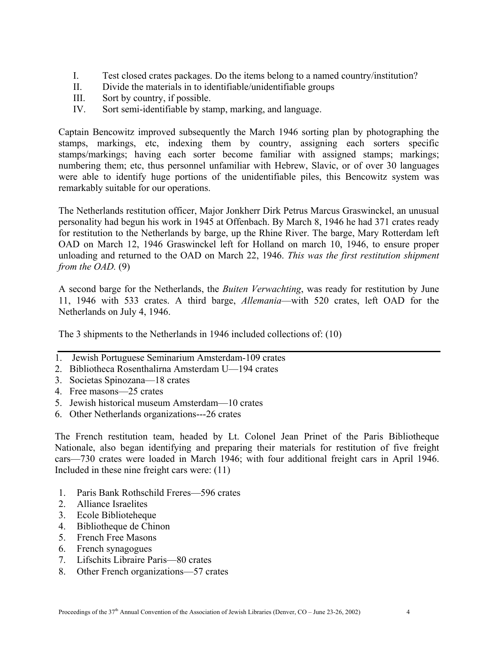- I. Test closed crates packages. Do the items belong to a named country/institution?
- II. Divide the materials in to identifiable/unidentifiable groups
- III. Sort by country, if possible.
- IV. Sort semi-identifiable by stamp, marking, and language.

Captain Bencowitz improved subsequently the March 1946 sorting plan by photographing the stamps, markings, etc, indexing them by country, assigning each sorters specific stamps/markings; having each sorter become familiar with assigned stamps; markings; numbering them; etc, thus personnel unfamiliar with Hebrew, Slavic, or of over 30 languages were able to identify huge portions of the unidentifiable piles, this Bencowitz system was remarkably suitable for our operations.

The Netherlands restitution officer, Major Jonkherr Dirk Petrus Marcus Graswinckel, an unusual personality had begun his work in 1945 at Offenbach. By March 8, 1946 he had 371 crates ready for restitution to the Netherlands by barge, up the Rhine River. The barge, Mary Rotterdam left OAD on March 12, 1946 Graswinckel left for Holland on march 10, 1946, to ensure proper unloading and returned to the OAD on March 22, 1946. *This was the first restitution shipment from the OAD.* (9)

A second barge for the Netherlands, the *Buiten Verwachting*, was ready for restitution by June 11, 1946 with 533 crates. A third barge, *Allemania*—with 520 crates, left OAD for the Netherlands on July 4, 1946.

The 3 shipments to the Netherlands in 1946 included collections of: (10)

- 1. Jewish Portuguese Seminarium Amsterdam-109 crates
- 2. Bibliotheca Rosenthalirna Amsterdam U—194 crates
- 3. Societas Spinozana—18 crates
- 4. Free masons—25 crates
- 5. Jewish historical museum Amsterdam—10 crates
- 6. Other Netherlands organizations---26 crates

The French restitution team, headed by Lt. Colonel Jean Prinet of the Paris Bibliotheque Nationale, also began identifying and preparing their materials for restitution of five freight cars—730 crates were loaded in March 1946; with four additional freight cars in April 1946. Included in these nine freight cars were: (11)

- 1. Paris Bank Rothschild Freres—596 crates
- 2. Alliance Israelites
- 3. Ecole Biblioteheque
- 4. Bibliotheque de Chinon
- 5. French Free Masons
- 6. French synagogues
- 7. Lifschits Libraire Paris—80 crates
- 8. Other French organizations—57 crates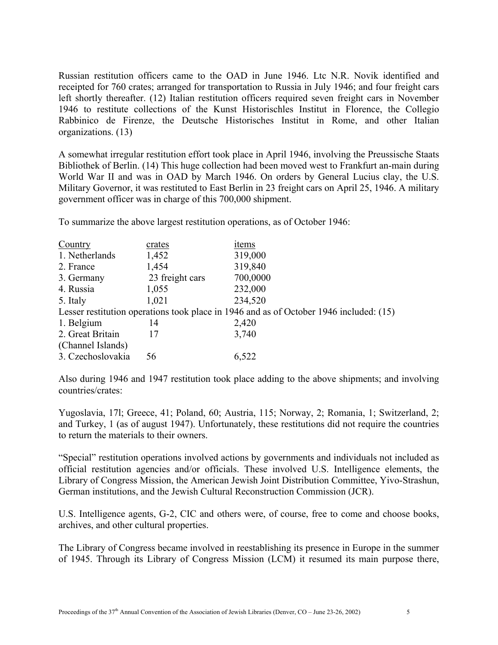Russian restitution officers came to the OAD in June 1946. Ltc N.R. Novik identified and receipted for 760 crates; arranged for transportation to Russia in July 1946; and four freight cars left shortly thereafter. (12) Italian restitution officers required seven freight cars in November 1946 to restitute collections of the Kunst Historischles Institut in Florence, the Collegio Rabbinico de Firenze, the Deutsche Historisches Institut in Rome, and other Italian organizations. (13)

A somewhat irregular restitution effort took place in April 1946, involving the Preussische Staats Bibliothek of Berlin. (14) This huge collection had been moved west to Frankfurt an-main during World War II and was in OAD by March 1946. On orders by General Lucius clay, the U.S. Military Governor, it was restituted to East Berlin in 23 freight cars on April 25, 1946. A military government officer was in charge of this 700,000 shipment.

To summarize the above largest restitution operations, as of October 1946:

| Country                                                                                | crates          | items    |
|----------------------------------------------------------------------------------------|-----------------|----------|
| 1. Netherlands                                                                         | 1,452           | 319,000  |
| 2. France                                                                              | 1,454           | 319,840  |
| 3. Germany                                                                             | 23 freight cars | 700,0000 |
| 4. Russia                                                                              | 1,055           | 232,000  |
| 5. Italy                                                                               | 1,021           | 234,520  |
| Lesser restitution operations took place in 1946 and as of October 1946 included: (15) |                 |          |
| 1. Belgium                                                                             | 14              | 2,420    |
| 2. Great Britain                                                                       | 17              | 3,740    |
| (Channel Islands)                                                                      |                 |          |
| 3. Czechoslovakia                                                                      | 56              | 6,522    |

Also during 1946 and 1947 restitution took place adding to the above shipments; and involving countries/crates:

Yugoslavia, 17l; Greece, 41; Poland, 60; Austria, 115; Norway, 2; Romania, 1; Switzerland, 2; and Turkey, 1 (as of august 1947). Unfortunately, these restitutions did not require the countries to return the materials to their owners.

"Special" restitution operations involved actions by governments and individuals not included as official restitution agencies and/or officials. These involved U.S. Intelligence elements, the Library of Congress Mission, the American Jewish Joint Distribution Committee, Yivo-Strashun, German institutions, and the Jewish Cultural Reconstruction Commission (JCR).

U.S. Intelligence agents, G-2, CIC and others were, of course, free to come and choose books, archives, and other cultural properties.

The Library of Congress became involved in reestablishing its presence in Europe in the summer of 1945. Through its Library of Congress Mission (LCM) it resumed its main purpose there,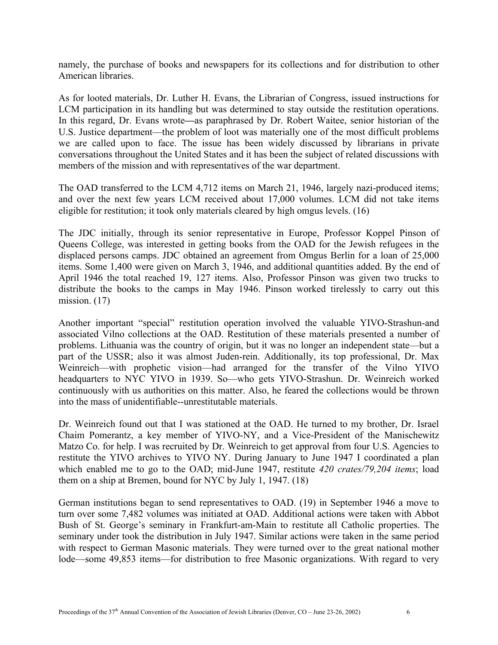namely, the purchase of books and newspapers for its collections and for distribution to other American libraries.

As for looted materials, Dr. Luther H. Evans, the Librarian of Congress, issued instructions for LCM participation in its handling but was determined to stay outside the restitution operations. In this regard, Dr. Evans wrote**—**as paraphrased by Dr. Robert Waitee, senior historian of the U.S. Justice department—the problem of loot was materially one of the most difficult problems we are called upon to face. The issue has been widely discussed by librarians in private conversations throughout the United States and it has been the subject of related discussions with members of the mission and with representatives of the war department.

The OAD transferred to the LCM 4,712 items on March 21, 1946, largely nazi-produced items; and over the next few years LCM received about 17,000 volumes. LCM did not take items eligible for restitution; it took only materials cleared by high omgus levels. (16)

The JDC initially, through its senior representative in Europe, Professor Koppel Pinson of Queens College, was interested in getting books from the OAD for the Jewish refugees in the displaced persons camps. JDC obtained an agreement from Omgus Berlin for a loan of 25,000 items. Some 1,400 were given on March 3, 1946, and additional quantities added. By the end of April 1946 the total reached 19, 127 items. Also, Professor Pinson was given two trucks to distribute the books to the camps in May 1946. Pinson worked tirelessly to carry out this mission.  $(17)$ 

Another important "special" restitution operation involved the valuable YIVO-Strashun-and associated Vilno collections at the OAD. Restitution of these materials presented a number of problems. Lithuania was the country of origin, but it was no longer an independent state—but a part of the USSR; also it was almost Juden-rein. Additionally, its top professional, Dr. Max Weinreich—with prophetic vision—had arranged for the transfer of the Vilno YIVO headquarters to NYC YIVO in 1939. So—who gets YIVO-Strashun. Dr. Weinreich worked continuously with us authorities on this matter. Also, he feared the collections would be thrown into the mass of unidentifiable--unrestitutable materials.

Dr. Weinreich found out that I was stationed at the OAD. He turned to my brother, Dr. Israel Chaim Pomerantz, a key member of YIVO-NY, and a Vice-President of the Manischewitz Matzo Co. for help. I was recruited by Dr. Weinreich to get approval from four U.S. Agencies to restitute the YIVO archives to YIVO NY. During January to June 1947 I coordinated a plan which enabled me to go to the OAD; mid-June 1947, restitute *420 crates/79,204 items*; load them on a ship at Bremen, bound for NYC by July 1, 1947. (18)

German institutions began to send representatives to OAD. (19) in September 1946 a move to turn over some 7,482 volumes was initiated at OAD. Additional actions were taken with Abbot Bush of St. George's seminary in Frankfurt-am-Main to restitute all Catholic properties. The seminary under took the distribution in July 1947. Similar actions were taken in the same period with respect to German Masonic materials. They were turned over to the great national mother lode—some 49,853 items—for distribution to free Masonic organizations. With regard to very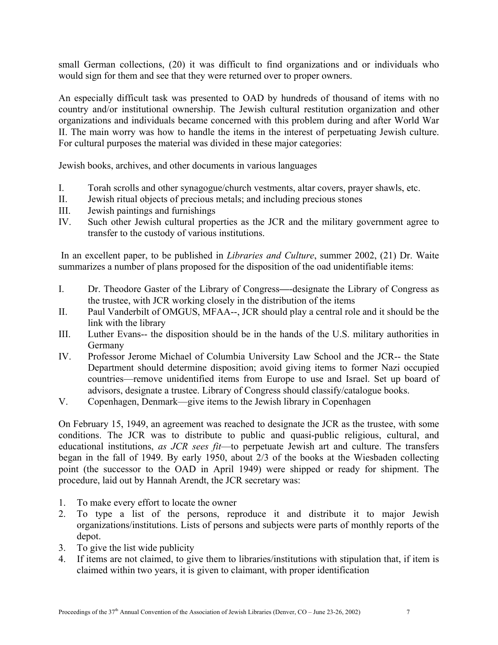small German collections, (20) it was difficult to find organizations and or individuals who would sign for them and see that they were returned over to proper owners.

An especially difficult task was presented to OAD by hundreds of thousand of items with no country and/or institutional ownership. The Jewish cultural restitution organization and other organizations and individuals became concerned with this problem during and after World War II. The main worry was how to handle the items in the interest of perpetuating Jewish culture. For cultural purposes the material was divided in these major categories:

Jewish books, archives, and other documents in various languages

- I. Torah scrolls and other synagogue/church vestments, altar covers, prayer shawls, etc.
- II. Jewish ritual objects of precious metals; and including precious stones
- III. Jewish paintings and furnishings
- IV. Such other Jewish cultural properties as the JCR and the military government agree to transfer to the custody of various institutions.

In an excellent paper, to be published in *Libraries and Culture*, summer 2002, (21) Dr. Waite summarizes a number of plans proposed for the disposition of the oad unidentifiable items:

- I. Dr. Theodore Gaster of the Library of Congress**—**-designate the Library of Congress as the trustee, with JCR working closely in the distribution of the items
- II. Paul Vanderbilt of OMGUS, MFAA--, JCR should play a central role and it should be the link with the library
- III. Luther Evans-- the disposition should be in the hands of the U.S. military authorities in Germany
- IV. Professor Jerome Michael of Columbia University Law School and the JCR-- the State Department should determine disposition; avoid giving items to former Nazi occupied countries—remove unidentified items from Europe to use and Israel. Set up board of advisors, designate a trustee. Library of Congress should classify/catalogue books.
- V. Copenhagen, Denmark—give items to the Jewish library in Copenhagen

On February 15, 1949, an agreement was reached to designate the JCR as the trustee, with some conditions. The JCR was to distribute to public and quasi-public religious, cultural, and educational institutions, *as JCR sees fit*—to perpetuate Jewish art and culture. The transfers began in the fall of 1949. By early 1950, about 2/3 of the books at the Wiesbaden collecting point (the successor to the OAD in April 1949) were shipped or ready for shipment. The procedure, laid out by Hannah Arendt, the JCR secretary was:

- 1. To make every effort to locate the owner
- 2. To type a list of the persons, reproduce it and distribute it to major Jewish organizations/institutions. Lists of persons and subjects were parts of monthly reports of the depot.
- 3. To give the list wide publicity
- 4. If items are not claimed, to give them to libraries/institutions with stipulation that, if item is claimed within two years, it is given to claimant, with proper identification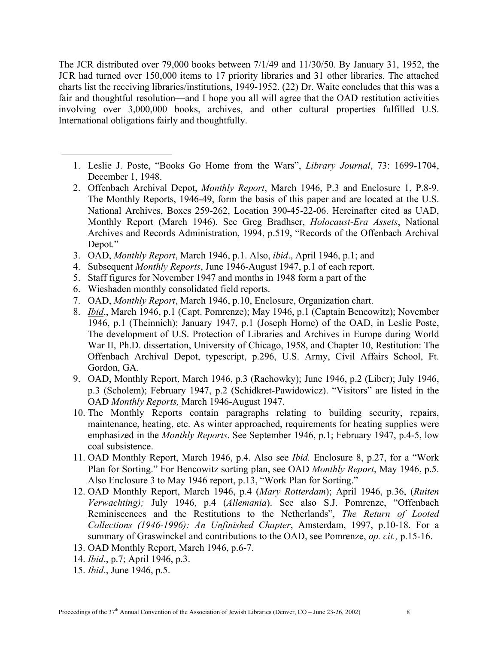The JCR distributed over 79,000 books between 7/1/49 and 11/30/50. By January 31, 1952, the JCR had turned over 150,000 items to 17 priority libraries and 31 other libraries. The attached charts list the receiving libraries/institutions, 1949-1952. (22) Dr. Waite concludes that this was a fair and thoughtful resolution—and I hope you all will agree that the OAD restitution activities involving over 3,000,000 books, archives, and other cultural properties fulfilled U.S. International obligations fairly and thoughtfully.

- 1. Leslie J. Poste, "Books Go Home from the Wars", *Library Journal*, 73: 1699-1704, December 1, 1948.
- 2. Offenbach Archival Depot, *Monthly Report*, March 1946, P.3 and Enclosure 1, P.8-9. The Monthly Reports, 1946-49, form the basis of this paper and are located at the U.S. National Archives, Boxes 259-262, Location 390-45-22-06. Hereinafter cited as UAD, Monthly Report (March 1946). See Greg Bradhser, *Holocaust-Era Assets*, National Archives and Records Administration, 1994, p.519, "Records of the Offenbach Archival Depot."
- 3. OAD, *Monthly Report*, March 1946, p.1. Also, *ibid*., April 1946, p.1; and
- 4. Subsequent *Monthly Reports*, June 1946-August 1947, p.1 of each report.
- 5. Staff figures for November 1947 and months in 1948 form a part of the
- 6. Wieshaden monthly consolidated field reports.
- 7. OAD, *Monthly Report*, March 1946, p.10, Enclosure, Organization chart.
- 8. *Ibid*., March 1946, p.1 (Capt. Pomrenze); May 1946, p.1 (Captain Bencowitz); November 1946, p.1 (Theinnich); January 1947, p.1 (Joseph Horne) of the OAD, in Leslie Poste, The development of U.S. Protection of Libraries and Archives in Europe during World War II, Ph.D. dissertation, University of Chicago, 1958, and Chapter 10, Restitution: The Offenbach Archival Depot, typescript, p.296, U.S. Army, Civil Affairs School, Ft. Gordon, GA.
- 9. OAD, Monthly Report, March 1946, p.3 (Rachowky); June 1946, p.2 (Liber); July 1946, p.3 (Scholem); February 1947, p.2 (Schidkret-Pawidowicz). "Visitors" are listed in the OAD *Monthly Reports,* March 1946-August 1947.
- 10. The Monthly Reports contain paragraphs relating to building security, repairs, maintenance, heating, etc. As winter approached, requirements for heating supplies were emphasized in the *Monthly Reports*. See September 1946, p.1; February 1947, p.4-5, low coal subsistence.
- 11. OAD Monthly Report, March 1946, p.4. Also see *Ibid.* Enclosure 8, p.27, for a "Work Plan for Sorting." For Bencowitz sorting plan, see OAD *Monthly Report*, May 1946, p.5. Also Enclosure 3 to May 1946 report, p.13, "Work Plan for Sorting."
- 12. OAD Monthly Report, March 1946, p.4 (*Mary Rotterdam*); April 1946, p.36, (*Ruiten Verwachting);* July 1946, p.4 (*Allemania*). See also S.J. Pomrenze, "Offenbach Reminiscences and the Restitutions to the Netherlands", *The Return of Looted Collections (1946-1996): An Unfinished Chapter*, Amsterdam, 1997, p.10-18. For a summary of Graswinckel and contributions to the OAD, see Pomrenze, *op. cit.,* p.15-16.
- 13. OAD Monthly Report, March 1946, p.6-7.
- 14. *Ibid*., p.7; April 1946, p.3.
- 15. *Ibid*., June 1946, p.5.